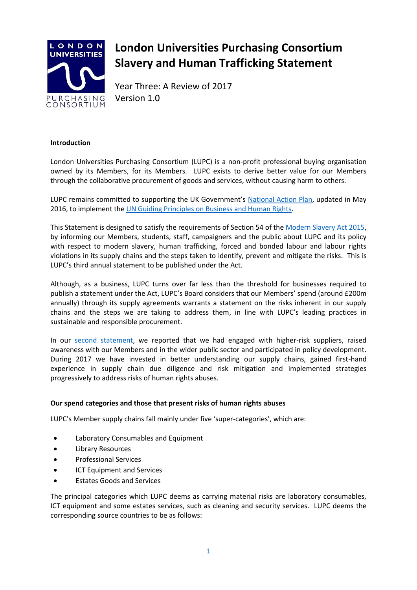

# **London Universities Purchasing Consortium Slavery and Human Trafficking Statement**

Year Three: A Review of 2017 Version 1.0

# **Introduction**

London Universities Purchasing Consortium (LUPC) is a non-profit professional buying organisation owned by its Members, for its Members. LUPC exists to derive better value for our Members through the collaborative procurement of goods and services, without causing harm to others.

LUPC remains committed to supporting the UK Government's [National Action Plan,](https://www.gov.uk/government/uploads/system/uploads/attachment_data/file/522805/Good_Business_Implementing_the_UN_Guiding_Principles_on_Business_and_Human_Rights_updated_May_2016.pdf) updated in May 2016, to implement the [UN Guiding Principles on Business and Human Rights.](http://www.ohchr.org/Documents/Publications/GuidingPrinciplesBusinessHR_EN.pdf)

This Statement is designed to satisfy the requirements of Section 54 of the [Modern Slavery Act 2015,](http://www.legislation.gov.uk/ukpga/2015/30/pdfs/ukpga_20150030_en.pdf) by informing our Members, students, staff, campaigners and the public about LUPC and its policy with respect to modern slavery, human trafficking, forced and bonded labour and labour rights violations in its supply chains and the steps taken to identify, prevent and mitigate the risks. This is LUPC's third annual statement to be published under the Act.

Although, as a business, LUPC turns over far less than the threshold for businesses required to publish a statement under the Act, LUPC's Board considers that our Members' spend (around £200m annually) through its supply agreements warrants a statement on the risks inherent in our supply chains and the steps we are taking to address them, in line with LUPC's leading practices in sustainable and responsible procurement.

In our [second statement,](http://static.uk-plc.net/library/london-universities-purchasing-consortium/documents/lupc-slavery-and-human-trafficking-statement-year-two-final.pdf) we reported that we had engaged with higher-risk suppliers, raised awareness with our Members and in the wider public sector and participated in policy development. During 2017 we have invested in better understanding our supply chains, gained first-hand experience in supply chain due diligence and risk mitigation and implemented strategies progressively to address risks of human rights abuses.

### **Our spend categories and those that present risks of human rights abuses**

LUPC's Member supply chains fall mainly under five 'super-categories', which are:

- Laboratory Consumables and Equipment
- Library Resources
- Professional Services
- ICT Equipment and Services
- Estates Goods and Services

The principal categories which LUPC deems as carrying material risks are laboratory consumables, ICT equipment and some estates services, such as cleaning and security services. LUPC deems the corresponding source countries to be as follows: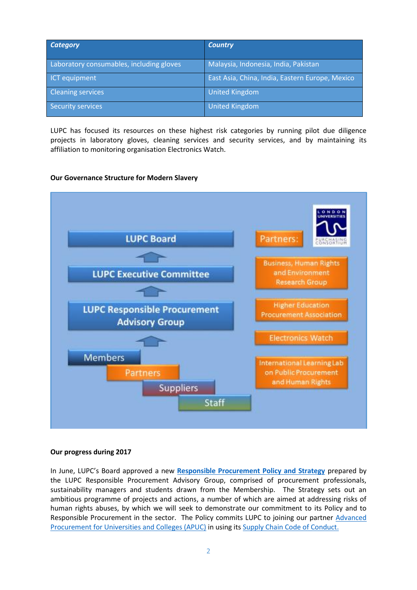| <b>Category</b>                          | <b>Country</b>                                  |
|------------------------------------------|-------------------------------------------------|
| Laboratory consumables, including gloves | Malaysia, Indonesia, India, Pakistan            |
| ICT equipment                            | East Asia, China, India, Eastern Europe, Mexico |
| <b>Cleaning services</b>                 | <b>United Kingdom</b>                           |
| Security services                        | <b>United Kingdom</b>                           |

LUPC has focused its resources on these highest risk categories by running pilot due diligence projects in laboratory gloves, cleaning services and security services, and by maintaining its affiliation to monitoring organisation Electronics Watch.

### **Our Governance Structure for Modern Slavery**



### **Our progress during 2017**

In June, LUPC's Board approved a new **[Responsible Procurement Policy and Strategy](http://lupc-uat.nfpservices.co.uk/sites/default/files/lupc-responsible-procurement-policy-and-strategy-v10.pdf)** prepared by the LUPC Responsible Procurement Advisory Group, comprised of procurement professionals, sustainability managers and students drawn from the Membership. The Strategy sets out an ambitious programme of projects and actions, a number of which are aimed at addressing risks of human rights abuses, by which we will seek to demonstrate our commitment to its Policy and to Responsible Procurement in the sector. The Policy commits LUPC to joining our partner [Advanced](http://apuc-scot.ac.uk/)  [Procurement for Universities and Colleges \(APUC\)](http://apuc-scot.ac.uk/) in using it[s Supply Chain Code of Conduct.](http://www.apuc-scot.ac.uk/uploads/Docs/pdf/SC%20code%20of%20conduct%20v1%20itt.pdf)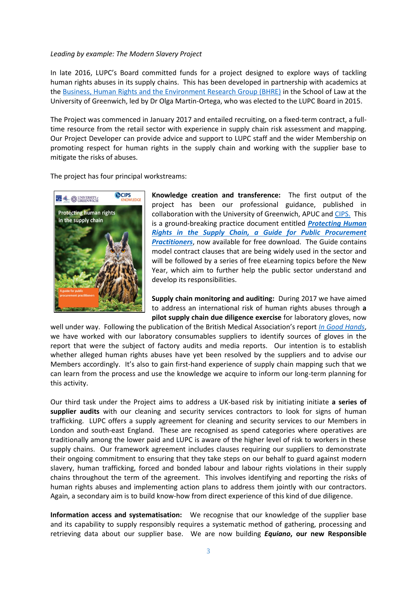#### *Leading by example: The Modern Slavery Project*

In late 2016, LUPC's Board committed funds for a project designed to explore ways of tackling human rights abuses in its supply chains. This has been developed in partnership with academics at th[e Business, Human Rights and the Environment Research Group \(BHRE\)](http://www.bhre.org/) in the School of Law at the University of Greenwich, led by Dr Olga Martin-Ortega, who was elected to the LUPC Board in 2015.

The Project was commenced in January 2017 and entailed recruiting, on a fixed-term contract, a fulltime resource from the retail sector with experience in supply chain risk assessment and mapping. Our Project Developer can provide advice and support to LUPC staff and the wider Membership on promoting respect for human rights in the supply chain and working with the supplier base to mitigate the risks of abuses.

The project has four principal workstreams:



**Knowledge creation and transference:** The first output of the project has been our professional guidance, published in collaboration with the University of Greenwich, APUC and [CIPS.](https://www.cips.org/en-GB/) This is a ground-breaking practice document entitled *[Protecting Human](http://lupc-uat.nfpservices.co.uk/sites/default/files/Knowledge%20LUPC%20-%20Protecting%20Human%20Rights%20in%20the%20Supply%20Chain.pdf)  [Rights in the Supply Chain, a Guide for Public Procurement](http://lupc-uat.nfpservices.co.uk/sites/default/files/Knowledge%20LUPC%20-%20Protecting%20Human%20Rights%20in%20the%20Supply%20Chain.pdf)  [Practitioners](http://lupc-uat.nfpservices.co.uk/sites/default/files/Knowledge%20LUPC%20-%20Protecting%20Human%20Rights%20in%20the%20Supply%20Chain.pdf)*, now available for free download. The Guide contains model contract clauses that are being widely used in the sector and will be followed by a series of free eLearning topics before the New Year, which aim to further help the public sector understand and develop its responsibilities.

**Supply chain monitoring and auditing:** During 2017 we have aimed to address an international risk of human rights abuses through **a pilot supply chain due diligence exercise** for laboratory gloves, now

well under way. Following the publication of the British Medical Association's report *[In Good Hands](https://www.bma.org.uk/collective-voice/influence/international/global-justice/fair-medical-trade/medical-gloves-report)*, we have worked with our laboratory consumables suppliers to identify sources of gloves in the report that were the subject of factory audits and media reports. Our intention is to establish whether alleged human rights abuses have yet been resolved by the suppliers and to advise our Members accordingly. It's also to gain first-hand experience of supply chain mapping such that we can learn from the process and use the knowledge we acquire to inform our long-term planning for this activity.

Our third task under the Project aims to address a UK-based risk by initiating initiate **a series of supplier audits** with our cleaning and security services contractors to look for signs of human trafficking. LUPC offers a supply agreement for cleaning and security services to our Members in London and south-east England. These are recognised as spend categories where operatives are traditionally among the lower paid and LUPC is aware of the higher level of risk to workers in these supply chains. Our framework agreement includes clauses requiring our suppliers to demonstrate their ongoing commitment to ensuring that they take steps on our behalf to guard against modern slavery, human trafficking, forced and bonded labour and labour rights violations in their supply chains throughout the term of the agreement. This involves identifying and reporting the risks of human rights abuses and implementing action plans to address them jointly with our contractors. Again, a secondary aim is to build know-how from direct experience of this kind of due diligence.

**Information access and systematisation:** We recognise that our knowledge of the supplier base and its capability to supply responsibly requires a systematic method of gathering, processing and retrieving data about our supplier base. We are now building *Equiano***, our new Responsible**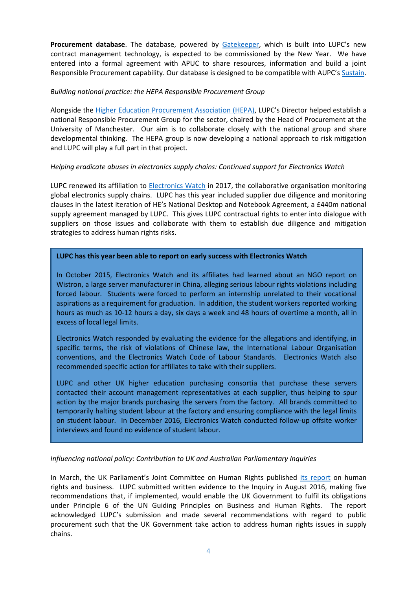**Procurement database**. The database, powered by [Gatekeeper,](https://www.gatekeeperhq.com/contract-management-software) which is built into LUPC's new contract management technology, is expected to be commissioned by the New Year. We have entered into a formal agreement with APUC to share resources, information and build a joint Responsible Procurement capability. Our database is designed to be compatible with AUPC's [Sustain.](http://www.sustain.ac.uk/)

# *Building national practice: the HEPA Responsible Procurement Group*

Alongside the [Higher Education Procurement Association \(HEPA\)](https://www.hepa.ac.uk/), LUPC's Director helped establish a national Responsible Procurement Group for the sector, chaired by the Head of Procurement at the University of Manchester. Our aim is to collaborate closely with the national group and share developmental thinking. The HEPA group is now developing a national approach to risk mitigation and LUPC will play a full part in that project.

# *Helping eradicate abuses in electronics supply chains: Continued support for Electronics Watch*

LUPC renewed its affiliation to [Electronics Watch](http://electronicswatch.org/en) in 2017, the collaborative organisation monitoring global electronics supply chains. LUPC has this year included supplier due diligence and monitoring clauses in the latest iteration of HE's National Desktop and Notebook Agreement, a £440m national supply agreement managed by LUPC. This gives LUPC contractual rights to enter into dialogue with suppliers on those issues and collaborate with them to establish due diligence and mitigation strategies to address human rights risks.

# **LUPC has this year been able to report on early success with Electronics Watch**

In October 2015, Electronics Watch and its affiliates had learned about an NGO report on Wistron, a large server manufacturer in China, alleging serious labour rights violations including forced labour. Students were forced to perform an internship unrelated to their vocational aspirations as a requirement for graduation. In addition, the student workers reported working hours as much as 10-12 hours a day, six days a week and 48 hours of overtime a month, all in excess of local legal limits.

Electronics Watch responded by evaluating the evidence for the allegations and identifying, in specific terms, the risk of violations of Chinese law, the International Labour Organisation conventions, and the Electronics Watch Code of Labour Standards. Electronics Watch also recommended specific action for affiliates to take with their suppliers.

LUPC and other UK higher education purchasing consortia that purchase these servers contacted their account management representatives at each supplier, thus helping to spur action by the major brands purchasing the servers from the factory. All brands committed to temporarily halting student labour at the factory and ensuring compliance with the legal limits on student labour. In December 2016, Electronics Watch conducted follow-up offsite worker interviews and found no evidence of student labour.

# *Influencing national policy: Contribution to UK and Australian Parliamentary Inquiries*

In March, the UK Parliament's Joint Committee on Human Rights published [its report](https://publications.parliament.uk/pa/jt201617/jtselect/jtrights/443/443.pdf) on human rights and business. LUPC submitted written evidence to the Inquiry in August 2016, making five recommendations that, if implemented, would enable the UK Government to fulfil its obligations under Principle 6 of the UN Guiding Principles on Business and Human Rights. The report acknowledged LUPC's submission and made several recommendations with regard to public procurement such that the UK Government take action to address human rights issues in supply chains.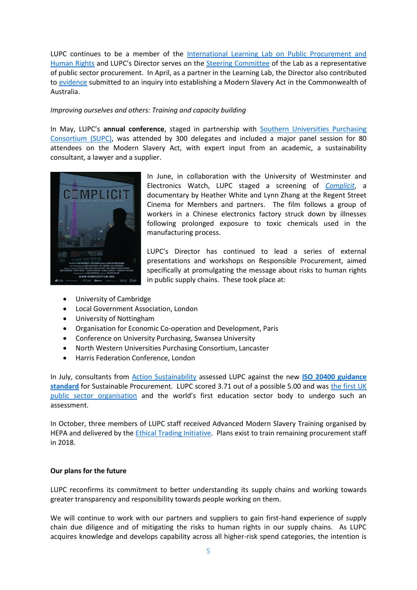LUPC continues to be a member of the [International Learning Lab on Public Procurement and](http://www.hrprocurementlab.org/)  [Human Rights](http://www.hrprocurementlab.org/) and LUPC's Director serves on the [Steering Committee](http://www.hrprocurementlab.org/about/steering-committee/) of the Lab as a representative of public sector procurement. In April, as a partner in the Learning Lab, the Director also contributed to [evidence](https://business-humanrights.org/sites/default/files/Sub%20134%20%281%29%20ILL.pdf) submitted to an inquiry into establishing a Modern Slavery Act in the Commonwealth of Australia.

## *Improving ourselves and others: Training and capacity building*

In May, LUPC's **annual conference**, staged in partnership with [Southern Universities Purchasing](https://www.supc.ac.uk/)  [Consortium \(SUPC\),](https://www.supc.ac.uk/) was attended by 300 delegates and included a major panel session for 80 attendees on the Modern Slavery Act, with expert input from an academic, a sustainability consultant, a lawyer and a supplier.



In June, in collaboration with the University of Westminster and Electronics Watch, LUPC staged a screening of *[Complicit](http://complicitfilm.org/)*, a documentary by Heather White and Lynn Zhang at the Regent Street Cinema for Members and partners. The film follows a group of workers in a Chinese electronics factory struck down by illnesses following prolonged exposure to toxic chemicals used in the manufacturing process.

LUPC's Director has continued to lead a series of external presentations and workshops on Responsible Procurement, aimed specifically at promulgating the message about risks to human rights in public supply chains. These took place at:

- University of Cambridge
- Local Government Association, London
- University of Nottingham
- Organisation for Economic Co-operation and Development, Paris
- Conference on University Purchasing, Swansea University
- North Western Universities Purchasing Consortium, Lancaster
- Harris Federation Conference, London

In July, consultants from [Action Sustainability](https://www.actionsustainability.com/) assessed LUPC against the new **[ISO 20400 guidance](https://www.iso20400.org/)**  [standard](https://www.iso20400.org/) for Sustainable Procurement. LUPC scored 3.71 out of a possible 5.00 and was the first UK [public sector organisation](https://www.publicspendforum.net/blogs/nancy-clinton/2017/09/11/new-international-standard-for-responsible-procurement-lupc-first-to-get-assessed) and the world's first education sector body to undergo such an assessment.

In October, three members of LUPC staff received Advanced Modern Slavery Training organised by HEPA and delivered by the [Ethical Trading Initiative.](https://www.ethicaltrade.org/) Plans exist to train remaining procurement staff in 2018.

### **Our plans for the future**

LUPC reconfirms its commitment to better understanding its supply chains and working towards greater transparency and responsibility towards people working on them.

We will continue to work with our partners and suppliers to gain first-hand experience of supply chain due diligence and of mitigating the risks to human rights in our supply chains. As LUPC acquires knowledge and develops capability across all higher-risk spend categories, the intention is